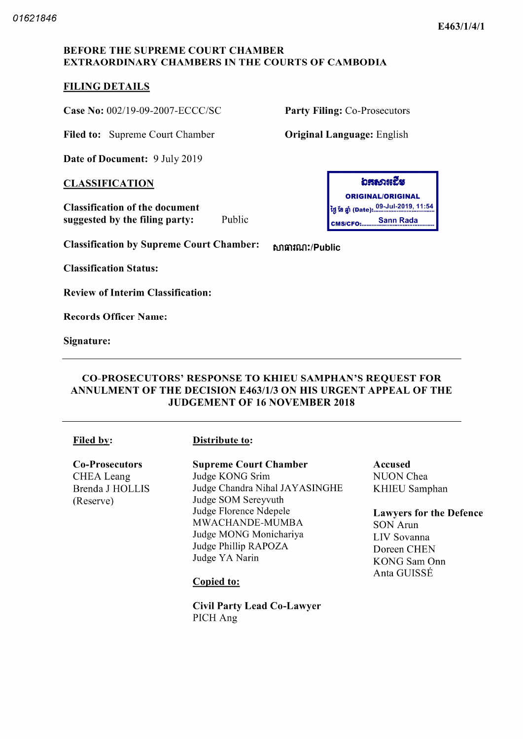### BEFORE THE SUPREME COURT CHAMBER EXTRAORDINARY CHAMBERS IN THE COURTS OF CAMBODIA

## FILING DETAILS

Case No: 002/19-09-2007-ECCC/SC Party Filing: Co-Prosecutors

Filed to: Supreme Court Chamber **Original Language:** English

Date of Document: 9 July 2019

**CLASSIFICATION** 

Classification of the document suggested by the filing party

Classification by Supreme Court Chamber: the manuficultural

Classification Status

Review of Interim Classification

Records Officer Name

Signature

### CO PROSECUTORS' RESPONSE TO KHIEU SAMPHAN'S REQUEST FOR ANNULMENT OF THE DECISION E463/1/3 ON HIS URGENT APPEAL OF THE JUDGEMENT OF <sup>16</sup> NOVEMBER <sup>2018</sup>

#### Filed by: Distribute to:

Co-Prosecutors CHEA Leang

Brenda J HOLLIS Reserve

## Supreme Court Chamber

Judge KONG Srim Judge Chandra Nihal JAYASINGHE Judge SOM Sereyvuth Judge Florence Ndepele MWACHANDE-MUMBA Judge MONG Monichariya Judge Phillip RAPOZA Judge YA Narin

#### Copied to

Civil Party Lead Co Lawyer PICH Ang

# อสอวหฉีย

ORIGINAL/ORIGINAL 09 Jul 2019 11 54 tti Ï8 Date CMS/CFO: Public **CALCE ANSIGED** Sann Rada

## Accused NUON Chea KHIEU Samphan

Lawyers for the Defence

SON Arun LIV Sovanna Doreen CHEN KONG Sam Onn Anta GUISSÉ